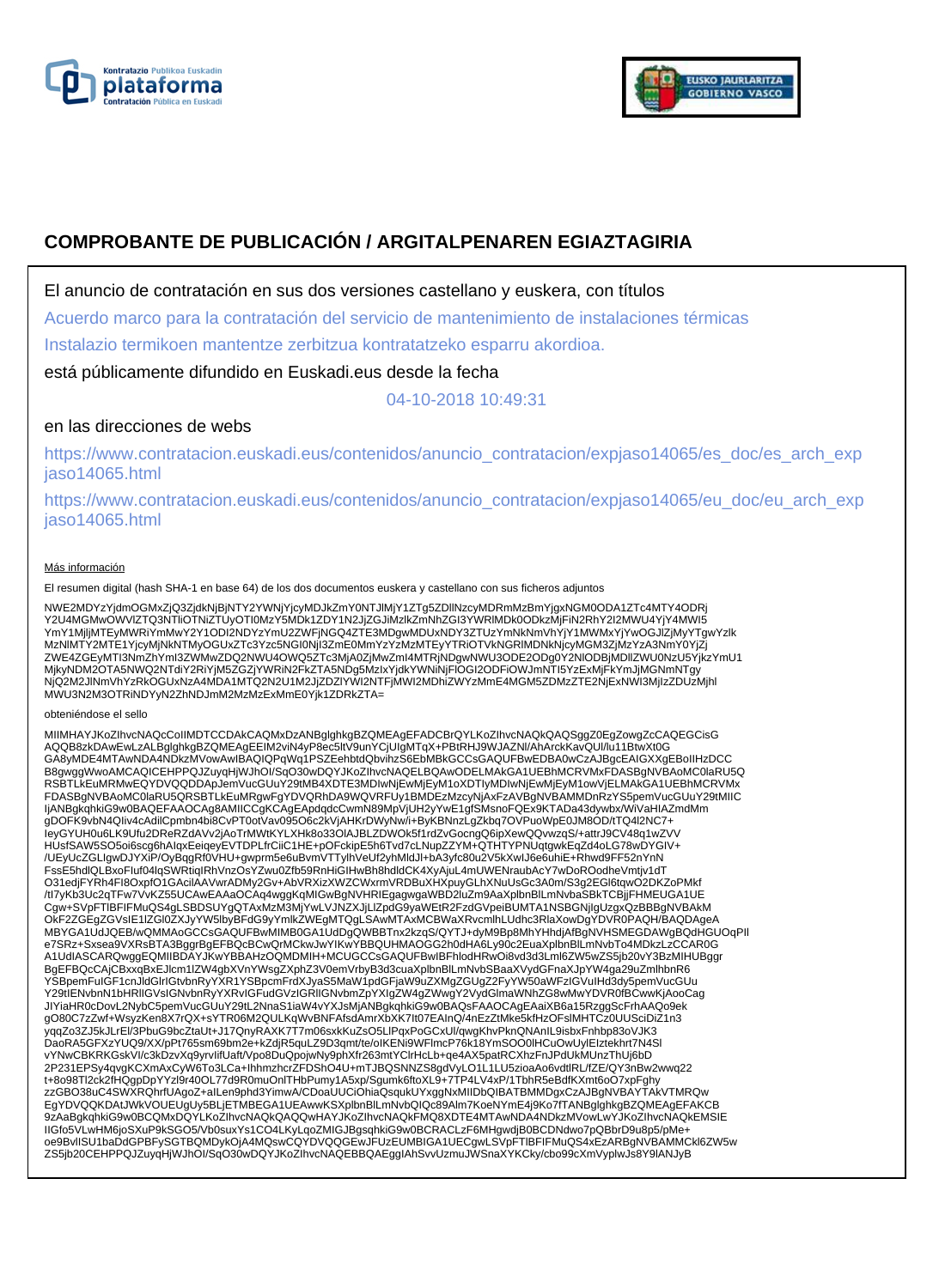



# **COMPROBANTE DE PUBLICACIÓN / ARGITALPENAREN EGIAZTAGIRIA**

El anuncio de contratación en sus dos versiones castellano y euskera, con títulos

Acuerdo marco para la contratación del servicio de mantenimiento de instalaciones térmicas

Instalazio termikoen mantentze zerbitzua kontratatzeko esparru akordioa.

está públicamente difundido en Euskadi.eus desde la fecha

04-10-2018 10:49:31

## en las direcciones de webs

https://www.contratacion.euskadi.eus/contenidos/anuncio\_contratacion/expjaso14065/es\_doc/es\_arch\_exp jaso14065.html

https://www.contratacion.euskadi.eus/contenidos/anuncio\_contratacion/expjaso14065/eu\_doc/eu\_arch\_exp jaso14065.html

### Más información

El resumen digital (hash SHA-1 en base 64) de los dos documentos euskera y castellano con sus ficheros adjuntos

NWE2MDYzYjdmOGMxZjQ3ZjdkNjBjNTY2YWNjYjcyMDJkZmY0NTJlMjY1ZTg5ZDllNzcyMDRmMzBmYjgxNGM0ODA1ZTc4MTY4ODRj<br>Y2U4MGMwOWVIZTQ3NTIiOTNiZTUyOTI0MzY5MDk1ZDY1N2JjZGJiMzlkZmNhZGI3YWRIMDk0ODkzMjFiN2RhY2I2MWU4YjY4MWI5<br>YmY1MjljMTEyMWRiYmMw MzNlMTY2MTE1YjcyMjNkNTMyOGUxZTc3Yzc5NGI0NjI3ZmE0MmYzYzMzMTEyYTRiOTVkNGRlMDNkNjcyMGM3ZjMzYzA3NmY0YjZj ZWE4ZGEyMTI3NmZhYmI3ZWMwZDQ2NWU4OWQ5ZTc3MjA0ZjMwZmI4MTRjNDgwNWU3ODE2ODg0Y2NlODBjMDllZWU0NzU5YjkzYmU1 MjkyNDM2OTA5NWQ2NTdiY2RiYjM5ZGZjYWRiN2FkZTA5NDg5MzIxYjdkYWNiNjFlOGI2ODFiOWJmNTI5YzExMjFkYmJjMGNmNTgy NjQ2M2JlNmVhYzRkOGUxNzA4MDA1MTQ2N2U1M2JjZDZlYWI2NTFjMWI2MDhiZWYzMmE4MGM5ZDMzZTE2NjExNWI3MjIzZDUzMjhl MWU3N2M3OTRiNDYyN2ZhNDJmM2MzMzExMmE0Yjk1ZDRkZTA=

obteniéndose el sello

MIIMHAYJKoZIhvcNAQcCoIIMDTCCDAkCAQMxDzANBglghkgBZQMEAgEFADCBrQYLKoZIhvcNAQkQAQSggZ0EgZowgZcCAQEGCisG AQQB8zkDAwEwLzALBglghkgBZQMEAgEEIM2viN4yP8ec5ltV9unYCjUIgMTqX+PBtRHJ9WJAZNl/AhArckKavQUl/lu11BtwXt0G GA8yMDE4MTAwNDA4NDkzMVowAwIBAQIQPqWq1PSZEehbtdQbvihzS6EbMBkGCCsGAQUFBwEDBA0wCzAJBgcEAIGXXgEBoIIHzDCC B8gwggWwoAMCAQICEHPPQJZuyqHjWJhOI/SqO30wDQYJKoZIhvcNAQELBQAwODELMAkGA1UEBhMCRVMxFDASBgNVBAoMC0laRU5Q<br>RSBTLkEuMRMwEQYDVQQDDApJemVucGUuY29tMB4XDTE3MDIwNjEwMjEyM1oXDTIyMDIwNjEwMjEyM1owVjELMAkGA1UEBhMCRVMx FDASBgNVBAoMC0laRU5QRSBTLkEuMRgwFgYDVQRhDA9WQVRFUy1BMDEzMzcyNjAxFzAVBgNVBAMMDnRzYS5pemVucGUuY29tMIIC<br>IjANBgkqhkiG9w0BAQEFAAOCAg8AMIICCgKCAgEApdqdcCwmN89MpVjUH2yYwE1gfSMsnoFQEx9KTADa43dywbx/WiVaHIAZmdMm gDOFK9vbN4QIiv4cAdilCpmbn4bi8CvPT0otVav095O6c2kVjAHKrDWyNw/i+ByKBNnzLgZkbq7OVPuoWpE0JM8OD/tTQ4l2NC7+ IeyGYUH0u6LK9Ufu2DReRZdAVv2jAoTrMWtKYLXHk8o33OlAJBLZDWOk5f1rdZvGocngQ6ipXewQQvwzqS/+attrJ9CV48q1wZVV HUsfSAW5SO5oi6scg6hAIqxEeiqeyEVTDPLfrCiiC1HE+pOFckipE5h6Tvd7cLNupZZYM+QTHTYPNUqtgwkEqZd4oLG78wDYGIV+ /UEyUcZGLIgwDJYXiP/OyBqgRf0VHU+gwprm5e6uBvmVTTylhVeUf2yhMldJl+bA3yfc80u2V5kXwIJ6e6uhiE+Rhwd9FF52nYnN FssE5hdlQLBxoFIuf04lqSWRtiqIRhVnzOsYZwu0Zfb59RnHiGIHwBh8hdldCK4XyAjuL4mUWENraubAcY7wDoROodheVmtjv1dT O31edjFYRh4FI8OxpfO1GAcilAAVwrADMy2Gv+AbVRXizXWZCWxrmVRDBuXHXpuyGLhXNuUsGc3A0m/S3g2EGl6tqwO2DKZoPMkf /tl7yKb3Uc2qTFw7VvKZ55UCAwEAAaOCAq4wggKqMlGwBgNVHRIEgagwgaWBD2luZm9AaXplbnBlLmNvbaSBkTCBjjFHMEUGA1UE<br>Cgw+SVpFTIBFIFMuQS4gLSBDSUYgQTAxMzM3MjYwLVJNZXJjLlZpdG9yaWEtR2FzdGVpeiBUMTA1NSBGNjIgUzgxQzBBBgNVBAkM<br>OkF2ZGEgZGVsIE1IZGl0 MBYGA1UdJQEB/wQMMAoGCCsGAQUFBwMIMB0GA1UdDgQWBBTnx2kzqS/QYTJ+dyM9Bp8MhYHhdjAfBgNVHSMEGDAWgBQdHGUOqPIl e7SRz+Sxsea9VXRsBTA3BggrBgEFBQcBCwQrMCkwJwYIKwYBBQUHMAOGG2h0dHA6Ly90c2EuaXplbnBlLmNvbTo4MDkzLzCCAR0G A1UdIASCARQwggEQMIIBDAYJKwYBBAHzOQMDMIH+MCUGCCsGAQUFBwIBFhlodHRwOi8vd3d3Lml6ZW5wZS5jb20vY3BzMIHUBggr BgEFBQcCAjCBxxqBxEJlcm1lZW4gbXVnYWsgZXphZ3V0emVrbyB3d3cuaXplbnBlLmNvbSBaaXVydGFnaXJpYW4ga29uZmlhbnR6 YSBpemFuIGF1cnJldGlrIGtvbnRyYXR1YSBpcmFrdXJyaS5MaW1pdGFjaW9uZXMgZGUgZ2FyYW50aWFzIGVuIHd3dy5pemVucGUu<br>Y29tIENvbnN1bHRIIGVsIGNvbnRyYXRvIGFudGVzIGRIIGNvbmZpYXIgZW4gZWwgY2VydGImaWNhZG8wMwYDVR0fBCwwKjAooCag<br>JIYiaHR0cDovL2NybC5p gO80C7zZwf+WsyzKen8X7rQX+sYTR06M2QULKqWvBNFAfsdAmrXbXK7It07EAInQ/4nEzZtMke5kfHzOFslMHTCz0UUSciDiZ1n3 yqqZo3ZJ5kJLrEl/3PbuG9bcZtaUt+J17QnyRAXK7T7m06sxkKuZsO5LlPqxPoGCxUl/qwgKhvPknQNAnIL9isbxFnhbp83oVJK3 DaoRA5GFXzYUQ9/XX/pPt765sm69bm2e+kZdjR5quLZ9D3qmt/te/oIKENi9WFlmcP76k18YmSOO0lHCuOwUylEIztekhrt7N4Sl vYNwCBKRKGskVI/c3kDzvXq9yrvIifUaft/Vpo8DuQpojwNy9phXfr263mtYClrHcLb+qe4AX5patRCXhzFnJPdUkMUnzThUj6bD 2P231EPSy4qvgKCXmAxCyW6To3LCa+IhhmzhcrZFDShO4U+mTJBQSNNZS8gdVyLO1L1LU5zioaAo6vdtlRL/fZE/QY3nBw2wwq22 t+8o98Tl2ck2fHQgpDpYYzl9r40OL77d9R0muOnlTHbPumy1A5xp/Sgumk6ftoXL9+7TP4LV4xP/1TbhR5eBdfKXmt6oO7xpFghy zzGBO38uC4SWXRQhrfUAgoZ+aILen9phd3YimwA/CDoaUUCiOhiaQsqukUYxggNxMIIDbQIBATBMMDgxCzAJBgNVBAYTAkVTMRQw<br>EgYDVQQKDAtJWkVOUEUgUy5BLjETMBEGA1UEAwwKSXplbnBlLmNvbQlQc89Alm7KoeNYmE4j9Ko7fTANBglghkgBZQMEAgEFAKCB 9zAaBgkqhkiG9w0BCQMxDQYLKoZIhvcNAQkQAQQwHAYJKoZIhvcNAQkFMQ8XDTE4MTAwNDA4NDkzMVowLwYJKoZIhvcNAQkEMSIE IIGfo5VLwHM6joSXuP9kSGO5/Vb0suxYs1CO4LKyLqoZMIGJBgsqhkiG9w0BCRACLzF6MHgwdjB0BCDNdwo7pQBbrD9u8p5/pMe+ oe9BvlISU1baDdGPBFySGTBQMDykOjA4MQswCQYDVQQGEwJFUzEUMBIGA1UECgwLSVpFTlBFIFMuQS4xEzARBgNVBAMMCkl6ZW5w ZS5jb20CEHPPQJZuyqHjWJhOI/SqO30wDQYJKoZIhvcNAQEBBQAEggIAhSvvUzmuJWSnaXYKCky/cbo99cXmVyplwJs8Y9lANJyB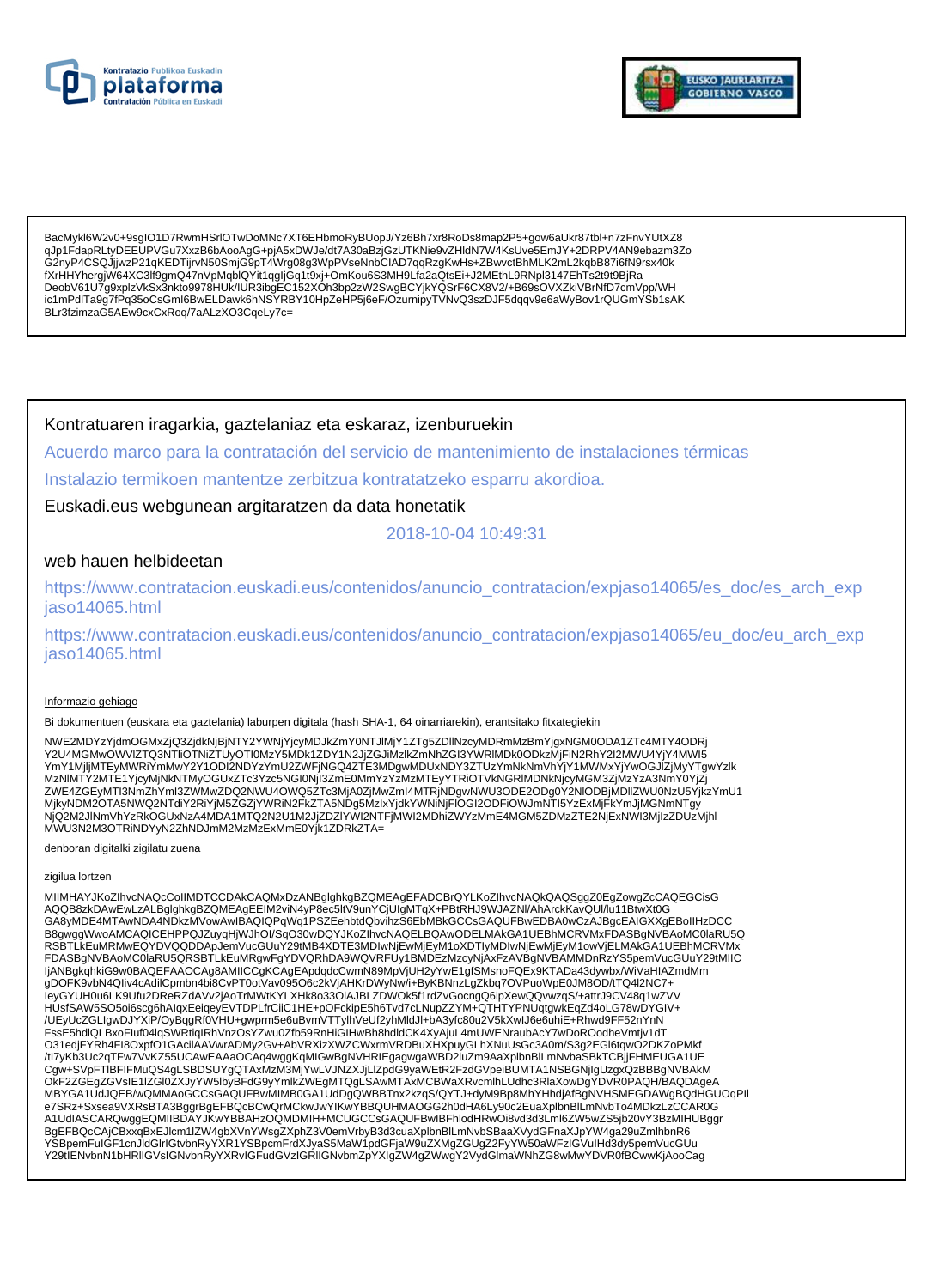



BacMykl6W2v0+9sglO1D7RwmHSrlOTwDoMNc7XT6EHbmoRyBUopJ/Yz6Bh7xr8RoDs8map2P5+gow6aUkr87tbl+n7zFnvYUtXZ8 gJp1FdapRLtyDEEUPVGu7XxzB6bAooAqG+pjA5xDWJe/dt7A30aBzjGzUTKNie9vZHldN7W4KsUve5EmJY+2DRPV4AN9ebazm3Zo G2nyP4CSQJjjwzP21qKEDTijrvN50SmjG9pT4Wrg08g3WpPVseNnbCIAD7qqRzgKwHs+ZBwvctBhMLK2mL2kqbB87i6fN9rsx40k fXrHHYhergjW64XC3lf9gmQ47nVpMqblQYit1qgljGq1t9xj+OmKou6S3MH9Lfa2aQtsEi+J2MEthL9RNpl3147EhTs2t9t9BjRa DeobV61U7g9xplzVkSx3nkto9978HUk/IUR3ibgEC152XOh3bp2zW2SwgBCYjkYQSrF6CX8V2/+B69sOVXZkiVBrNfD7cmVpp/WH ic1mPdlTa9g7fPq35oCsGml6BwELDawk6hNSYRBY10HpZeHP5j6eF/OzurnipyTVNvQ3szDJF5dqqv9e6aWyBov1rQUGmYSb1sAK BLr3fzimzaG5AEw9cxCxRoq/7aALzXO3CqeLy7c=

Kontratuaren iragarkia, gaztelaniaz eta eskaraz, izenburuekin

Acuerdo marco para la contratación del servicio de mantenimiento de instalaciones térmicas

Instalazio termikoen mantentze zerbitzua kontratatzeko esparru akordioa.

Euskadi.eus webgunean argitaratzen da data honetatik

2018-10-04 10:49:31

## web hauen helbideetan

https://www.contratacion.euskadi.eus/contenidos/anuncio\_contratacion/expjaso14065/es\_doc/es\_arch\_exp jaso14065.html

https://www.contratacion.euskadi.eus/contenidos/anuncio contratacion/expjaso14065/eu doc/eu arch exp jaso14065.html

#### Informazio gehiago

Bi dokumentuen (euskara eta gaztelania) laburpen digitala (hash SHA-1, 64 oinarriarekin), erantsitako fitxategiekin

NWE2MDYzYjdmOGMxZjQ3ZjdkNjBjNTY2YWNjYjcyMDJkZmY0NTJlMjY1ZTg5ZDllNzcyMDRmMzBmYjgxNGM0ODA1ZTc4MTY4ODRj Y2U4MGMwOWVIZTQ3NTIiOTNiZTUyOTI0MzY5MDk1ZDY1N2JjZGJiMzlkZmNhZGI3YWRIMDk0ODkzMjFiN2RhY2I2MWU4YjY4MWI5 YmY1MjijMTEyMWRiYmMwY2Y1ODI2NDY2YmU2ZWFjNGQ4ZTE3MDgwMDUxNDY3ZTUzYmNkNmVhYjY1MWMxYjYwOGJIZjMyYTgwYzlk<br>MzNlMTY2MTE1YjcyMjNkNTMyOGUxZTc3Yzc5NGI0NjI3ZmE0MmYzYzMzMTEyYTRiOTVkNGRlMDNkNjcyMGM3ZjMzYzA3NmY0YjZj wiziwin' 12000 kultural magnetic Data Magnetic Data Magnetic Magnetic Press, 2006 2009 (WEATGEWIND MAGNETIC MA<br>ZWEAZGEyMTI3NmZhYmI3ZWMwZDQ2NWU4OWQ5ZTc3MjA0ZjMwZml4MTRjNDgwNWU3ODE2ODg0Y2NIODBjMDlIZWU0NzU5YjkzYmU1<br>MjkyNDM2OT NjQ2M2JINmVhYzRkOGUxNzA4MDA1MTQ2N2U1M2JjZDZIYWI2NTFjMWI2MDhiZWYzMmE4MGM5ZDMzZTE2NjExNWI3MjIzZDUzMjhl MWU3N2M3OTRiNDYyN2ZhNDJmM2MzMzExMmE0Yjk1ZDRkZTA=

denboran digitalki zigilatu zuena

#### zigilua lortzen

MIIMHAYJKoZIhvcNAQcCoIIMDTCCDAkCAQMxDzANBglghkgBZQMEAgEFADCBrQYLKoZIhvcNAQkQAQSggZ0EgZowgZcCAQEGCisG AQQB8zkDAwEwLzALBglghkgBZQMEAgEEIM2viN4yP8ec5ltV9unYCjUlgMTqX+PBtRHJ9WJAZNl/AhArckKavQUl/lu11BtwXt0G GA8yMDE4MTAwNDA4NDKzMVowAwIBAQIQPqWq1PSZEehbtdQbvihzS6EbMBkGCCsGAQUFBwEDBA0wCzAJBgcEAIGXXqEBoIIHzDCC B8gwggWwoAMCAQICEHPPQJZuyqHjWJhOI/SqO30wDQYJKoZIhvcNAQELBQAwODELMAkGA1UEBhMCRVMxFDASBgNVBAoMC0laRU5Q<br>RSBTLkEuMRMwEQYDVQQDDApJemVucGUuY29tMB4XDTE3MDIwNjEwMjEyM1oXDTIyMDIwNjEwMjEyM1owVjELMAkGA1UEBhMCRVMx FDASBgNVBAoMC0laRU5QRSBTLkEuMRgwFgYDVQRhDA9WQVRFUy1BMDEzMzcyNjAxFzAVBgNVBAMMDnRzYS5pemVucGUuY29tMIIC ljANBgkqhkiG9w0BAQEFAAOCAg8AMIICCgKCAgEApdqdcCwmN89MpVjUH2yYwE1gfSMsnoFQEx9KTADa43dywbx/WiVaHIAZmdMm gDOFK9vbN4Qliv4cAdilCpmbn4bi8CvPT0otVav095O6c2kVjAHKrDWyNw/i+ByKBNnzLgZkbq7OVPuoWpE0JM8OD/tTQ4l2NC7+ IeyGYUH0u6LK9Ufu2DReRZdAVv2jAoTrMWtKYLXHk8o33OIAJBLZDWOk5f1rdZvGocngQ6ipXewQQvwzqS/+attrJ9CV48q1wZVV HUsfSAW5SO5oi6scg6hAlqxEeiqeyEVTDPLfrCiiC1HE+pOFckipE5h6Tvd7cLNupZZYM+QTHTYPNUqtgwkEqZd4oLG78wDYGIV+ /UEyUcZGLIgwDJYXIP/OyBqgRf0VHU+gwprm5e6uBvmVTTylhVeUf2yhMldJl+bA3yfc80u2V5kXwlJ6e6uhiE+Rhwd9FF52nYnN<br>FssE5hdlQLBxoFluf04lqSWRtiqIRhVnzOsYZwu0Zfb59RnHiGIHwBh8hdldCK4XyAjuL4mUWENraubAcY7wDoROodheVmtjv1dT<br>O31edjFYRh4Fl8OxpfO1 OKF2ZGEgZGVsIE1IZGI0ZXJyYW5lbyBFdG9yYmlkZWEgMTQgLSAwMTAxMCBWaXRvcmlhLUdhc3RlaXowDgYDVR0PAQH/BAQDAgeA MBYGA1UdJQEB/wQMMAoGCCsGAQUFBwMIMB0GA1UdDgQWBBTnx2kzqS/QYTJ+dyM9Bp8MhYHhdjAfBgNVHSMEGDAWgBQdHGUOqPII e7SRz+Sxsea9VXRsBTA3BggrBgEFBQcBCwQrMCkwJwYIKwYBBQUHMAOGG2h0dHA6Ly90c2EuaXplbnBlLmNvbTo4MDkzLzCCAR0G A1UdIASCARQwggEQMIIBDAYJKwYBBAHzOQMDMIH+MCUGCCsGAQUFBwIBFhlodHRwOi8vd3d3Lml6ZW5wZS5jb20vY3BzMIHUBggr BgEFBQcCAjCBxxqBxEJlcm1lZW4gbXVnYWsgZXphZ3V0emVrbyB3d3cuaXplbnBlLmNvbSBaaXVydGFnaXJpYW4ga29uZmlhbnR6<br>YSBpemFulGF1cnJldGlrlGtvbnRyYXR1YSBpcmFrdXJyaS5MaW1pdGFjaW9uZXMgZGUgZ2FyYW50aWFzIGVulHd3dy5pemVucGUu Y29tlENvbnN1bHRIIGVsIGNvbnRyYXRvIGFudGVzIGRIIGNvbmZpYXIgZW4gZWwgY2VydGlmaWNhZG8wMwYDVR0fBCwwKjAooCag